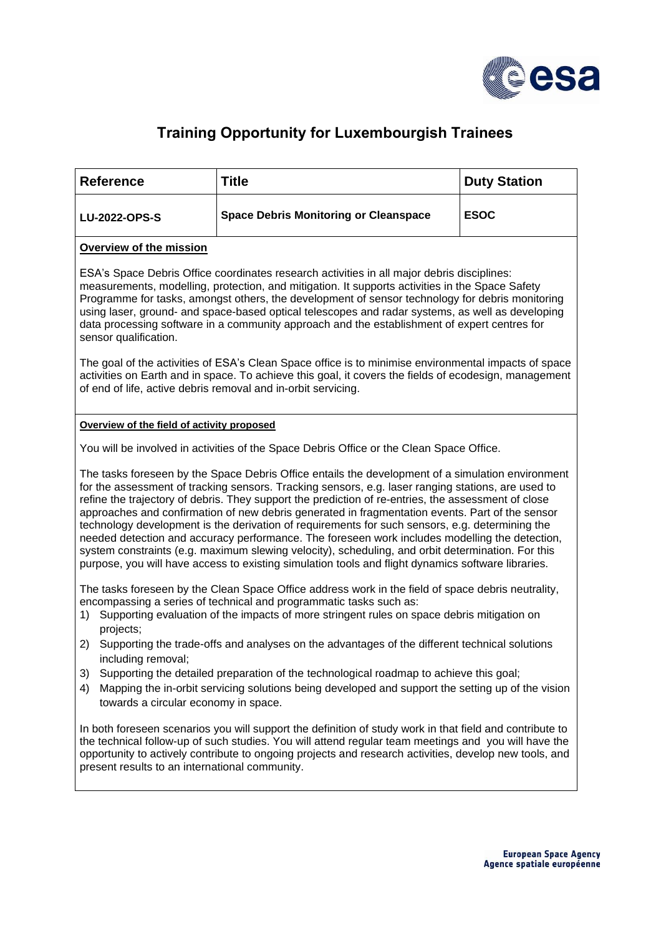

## **Training Opportunity for Luxembourgish Trainees**

| <b>Reference</b>                                                                                                                                                                                                                                                                                                                                                                                                                                                                                                                                                                                                                                                                                                                                                                                                                  | <b>Title</b>                                                                                                                                                                                | <b>Duty Station</b> |
|-----------------------------------------------------------------------------------------------------------------------------------------------------------------------------------------------------------------------------------------------------------------------------------------------------------------------------------------------------------------------------------------------------------------------------------------------------------------------------------------------------------------------------------------------------------------------------------------------------------------------------------------------------------------------------------------------------------------------------------------------------------------------------------------------------------------------------------|---------------------------------------------------------------------------------------------------------------------------------------------------------------------------------------------|---------------------|
| <b>LU-2022-OPS-S</b>                                                                                                                                                                                                                                                                                                                                                                                                                                                                                                                                                                                                                                                                                                                                                                                                              | <b>Space Debris Monitoring or Cleanspace</b>                                                                                                                                                | <b>ESOC</b>         |
| <b>Overview of the mission</b>                                                                                                                                                                                                                                                                                                                                                                                                                                                                                                                                                                                                                                                                                                                                                                                                    |                                                                                                                                                                                             |                     |
| ESA's Space Debris Office coordinates research activities in all major debris disciplines:<br>measurements, modelling, protection, and mitigation. It supports activities in the Space Safety<br>Programme for tasks, amongst others, the development of sensor technology for debris monitoring<br>using laser, ground- and space-based optical telescopes and radar systems, as well as developing<br>data processing software in a community approach and the establishment of expert centres for<br>sensor qualification.                                                                                                                                                                                                                                                                                                     |                                                                                                                                                                                             |                     |
| The goal of the activities of ESA's Clean Space office is to minimise environmental impacts of space<br>activities on Earth and in space. To achieve this goal, it covers the fields of ecodesign, management<br>of end of life, active debris removal and in-orbit servicing.                                                                                                                                                                                                                                                                                                                                                                                                                                                                                                                                                    |                                                                                                                                                                                             |                     |
| Overview of the field of activity proposed                                                                                                                                                                                                                                                                                                                                                                                                                                                                                                                                                                                                                                                                                                                                                                                        |                                                                                                                                                                                             |                     |
| You will be involved in activities of the Space Debris Office or the Clean Space Office.                                                                                                                                                                                                                                                                                                                                                                                                                                                                                                                                                                                                                                                                                                                                          |                                                                                                                                                                                             |                     |
| The tasks foreseen by the Space Debris Office entails the development of a simulation environment<br>for the assessment of tracking sensors. Tracking sensors, e.g. laser ranging stations, are used to<br>refine the trajectory of debris. They support the prediction of re-entries, the assessment of close<br>approaches and confirmation of new debris generated in fragmentation events. Part of the sensor<br>technology development is the derivation of requirements for such sensors, e.g. determining the<br>needed detection and accuracy performance. The foreseen work includes modelling the detection,<br>system constraints (e.g. maximum slewing velocity), scheduling, and orbit determination. For this<br>purpose, you will have access to existing simulation tools and flight dynamics software libraries. |                                                                                                                                                                                             |                     |
| The tasks foreseen by the Clean Space Office address work in the field of space debris neutrality,<br>encompassing a series of technical and programmatic tasks such as:<br>Supporting evaluation of the impacts of more stringent rules on space debris mitigation on<br>1)<br>projects;                                                                                                                                                                                                                                                                                                                                                                                                                                                                                                                                         |                                                                                                                                                                                             |                     |
| 2)<br>including removal;                                                                                                                                                                                                                                                                                                                                                                                                                                                                                                                                                                                                                                                                                                                                                                                                          | Supporting the trade-offs and analyses on the advantages of the different technical solutions                                                                                               |                     |
| 3)<br>4)<br>towards a circular economy in space.                                                                                                                                                                                                                                                                                                                                                                                                                                                                                                                                                                                                                                                                                                                                                                                  | Supporting the detailed preparation of the technological roadmap to achieve this goal;<br>Mapping the in-orbit servicing solutions being developed and support the setting up of the vision |                     |
| In both foreseen scenarios you will support the definition of study work in that field and contribute to<br>the technical follow-up of such studies. You will attend regular team meetings and you will have the<br>opportunity to actively contribute to ongoing projects and research activities, develop new tools, and<br>present results to an international community.                                                                                                                                                                                                                                                                                                                                                                                                                                                      |                                                                                                                                                                                             |                     |